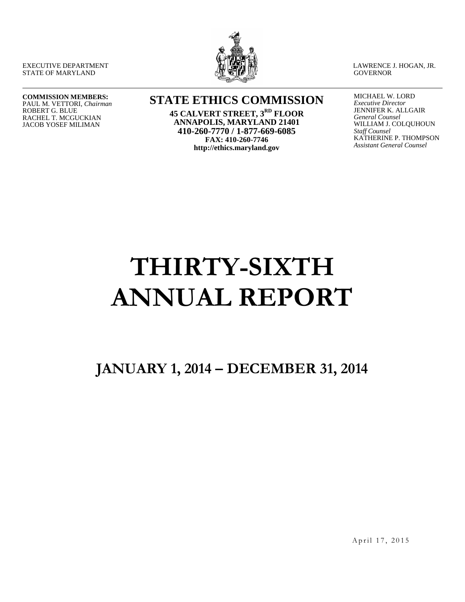EXECUTIVE DEPARTMENT STATE OF MARYLAND

LAWRENCE J. HOGAN, JR. **GOVERNOR** 

#### **COMMISSION MEMBERS:** PAUL M. VETTORI, *Chairman* ROBERT G. BLUE RACHEL T. MCGUCKIAN JACOB YOSEF MILIMAN

**STATE ETHICS COMMISSION**

**45 CALVERT STREET, 3RD FLOOR ANNAPOLIS, MARYLAND 21401 410-260-7770 / 1-877-669-6085 FAX: 410-260-7746 http://ethics.maryland.gov**

MICHAEL W. LORD *Executive Director* JENNIFER K. ALLGAIR *General Counsel* WILLIAM J. COLQUHOUN *Staff Counsel* KATHERINE P. THOMPSON *Assistant General Counsel*

# **THIRTY-SIXTH ANNUAL REPORT**

**JANUARY 1, 2014 – DECEMBER 31, 2014**

April 17, 2015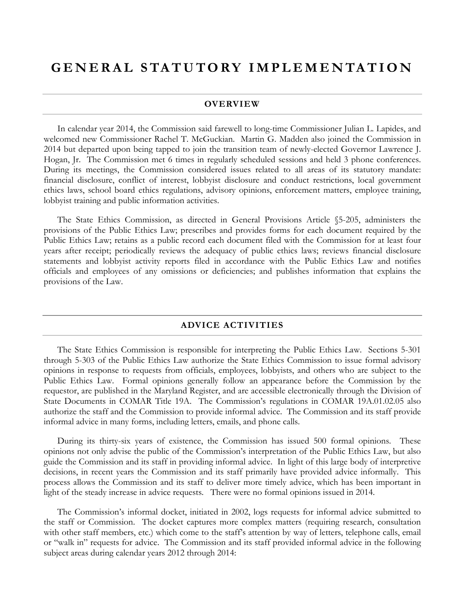# **GENERAL STATUTORY IM PLEMENTATION**

#### **OVERVIEW**

In calendar year 2014, the Commission said farewell to long-time Commissioner Julian L. Lapides, and welcomed new Commissioner Rachel T. McGuckian. Martin G. Madden also joined the Commission in 2014 but departed upon being tapped to join the transition team of newly-elected Governor Lawrence J. Hogan, Jr. The Commission met 6 times in regularly scheduled sessions and held 3 phone conferences. During its meetings, the Commission considered issues related to all areas of its statutory mandate: financial disclosure, conflict of interest, lobbyist disclosure and conduct restrictions, local government ethics laws, school board ethics regulations, advisory opinions, enforcement matters, employee training, lobbyist training and public information activities.

The State Ethics Commission, as directed in General Provisions Article §5-205, administers the provisions of the Public Ethics Law; prescribes and provides forms for each document required by the Public Ethics Law; retains as a public record each document filed with the Commission for at least four years after receipt; periodically reviews the adequacy of public ethics laws; reviews financial disclosure statements and lobbyist activity reports filed in accordance with the Public Ethics Law and notifies officials and employees of any omissions or deficiencies; and publishes information that explains the provisions of the Law.

#### **ADVICE ACTIVITIES**

The State Ethics Commission is responsible for interpreting the Public Ethics Law. Sections 5-301 through 5-303 of the Public Ethics Law authorize the State Ethics Commission to issue formal advisory opinions in response to requests from officials, employees, lobbyists, and others who are subject to the Public Ethics Law. Formal opinions generally follow an appearance before the Commission by the requestor, are published in the Maryland Register, and are accessible electronically through the Division of State Documents in COMAR Title 19A. The Commission's regulations in COMAR 19A.01.02.05 also authorize the staff and the Commission to provide informal advice. The Commission and its staff provide informal advice in many forms, including letters, emails, and phone calls.

During its thirty-six years of existence, the Commission has issued 500 formal opinions. These opinions not only advise the public of the Commission's interpretation of the Public Ethics Law, but also guide the Commission and its staff in providing informal advice. In light of this large body of interpretive decisions, in recent years the Commission and its staff primarily have provided advice informally. This process allows the Commission and its staff to deliver more timely advice, which has been important in light of the steady increase in advice requests. There were no formal opinions issued in 2014.

The Commission's informal docket, initiated in 2002, logs requests for informal advice submitted to the staff or Commission. The docket captures more complex matters (requiring research, consultation with other staff members, etc.) which come to the staff's attention by way of letters, telephone calls, email or "walk in" requests for advice. The Commission and its staff provided informal advice in the following subject areas during calendar years 2012 through 2014: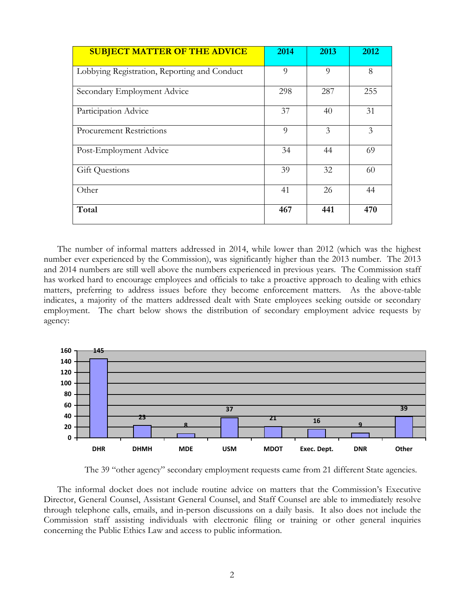| <b>SUBJECT MATTER OF THE ADVICE</b>          | 2014 | 2013 | 2012 |
|----------------------------------------------|------|------|------|
| Lobbying Registration, Reporting and Conduct | 9    | 9    | 8    |
| Secondary Employment Advice                  | 298  | 287  | 255  |
| Participation Advice                         | 37   | 40   | 31   |
| <b>Procurement Restrictions</b>              | 9    | 3    | 3    |
| Post-Employment Advice                       | 34   | 44   | 69   |
| <b>Gift Questions</b>                        | 39   | 32   | 60   |
| Other                                        | 41   | 26   | 44   |
| Total                                        | 467  | 441  | 470  |

The number of informal matters addressed in 2014, while lower than 2012 (which was the highest number ever experienced by the Commission), was significantly higher than the 2013 number. The 2013 and 2014 numbers are still well above the numbers experienced in previous years. The Commission staff has worked hard to encourage employees and officials to take a proactive approach to dealing with ethics matters, preferring to address issues before they become enforcement matters. As the above-table indicates, a majority of the matters addressed dealt with State employees seeking outside or secondary employment. The chart below shows the distribution of secondary employment advice requests by agency:



The 39 "other agency" secondary employment requests came from 21 different State agencies.

The informal docket does not include routine advice on matters that the Commission's Executive Director, General Counsel, Assistant General Counsel, and Staff Counsel are able to immediately resolve through telephone calls, emails, and in-person discussions on a daily basis. It also does not include the Commission staff assisting individuals with electronic filing or training or other general inquiries concerning the Public Ethics Law and access to public information.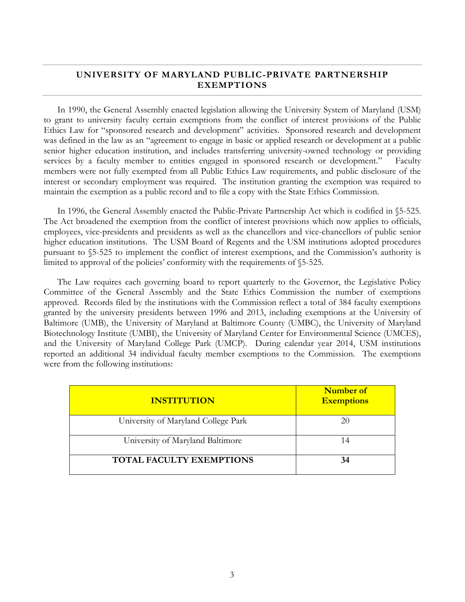#### **UNIVERSITY OF MARYLAND PUBLIC-PRIVATE PARTNERSHIP EXEMPTIONS**

In 1990, the General Assembly enacted legislation allowing the University System of Maryland (USM) to grant to university faculty certain exemptions from the conflict of interest provisions of the Public Ethics Law for "sponsored research and development" activities. Sponsored research and development was defined in the law as an "agreement to engage in basic or applied research or development at a public senior higher education institution, and includes transferring university-owned technology or providing services by a faculty member to entities engaged in sponsored research or development." Faculty members were not fully exempted from all Public Ethics Law requirements, and public disclosure of the interest or secondary employment was required. The institution granting the exemption was required to maintain the exemption as a public record and to file a copy with the State Ethics Commission.

In 1996, the General Assembly enacted the Public-Private Partnership Act which is codified in §5-525. The Act broadened the exemption from the conflict of interest provisions which now applies to officials, employees, vice-presidents and presidents as well as the chancellors and vice-chancellors of public senior higher education institutions. The USM Board of Regents and the USM institutions adopted procedures pursuant to §5-525 to implement the conflict of interest exemptions, and the Commission's authority is limited to approval of the policies' conformity with the requirements of §5-525.

The Law requires each governing board to report quarterly to the Governor, the Legislative Policy Committee of the General Assembly and the State Ethics Commission the number of exemptions approved. Records filed by the institutions with the Commission reflect a total of 384 faculty exemptions granted by the university presidents between 1996 and 2013, including exemptions at the University of Baltimore (UMB), the University of Maryland at Baltimore County (UMBC), the University of Maryland Biotechnology Institute (UMBI), the University of Maryland Center for Environmental Science (UMCES), and the University of Maryland College Park (UMCP). During calendar year 2014, USM institutions reported an additional 34 individual faculty member exemptions to the Commission. The exemptions were from the following institutions:

| <b>INSTITUTION</b>                  | Number of<br><b>Exemptions</b> |
|-------------------------------------|--------------------------------|
| University of Maryland College Park |                                |
| University of Maryland Baltimore    | 14                             |
| <b>TOTAL FACULTY EXEMPTIONS</b>     | 34                             |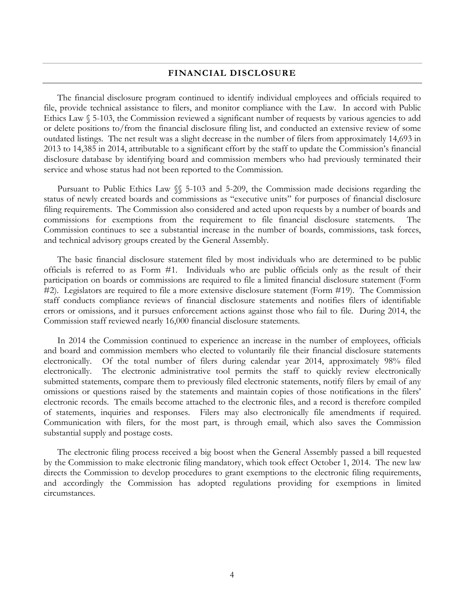#### **FINANCIAL DISCLOSURE**

The financial disclosure program continued to identify individual employees and officials required to file, provide technical assistance to filers, and monitor compliance with the Law. In accord with Public Ethics Law § 5-103, the Commission reviewed a significant number of requests by various agencies to add or delete positions to/from the financial disclosure filing list, and conducted an extensive review of some outdated listings. The net result was a slight decrease in the number of filers from approximately 14,693 in 2013 to 14,385 in 2014, attributable to a significant effort by the staff to update the Commission's financial disclosure database by identifying board and commission members who had previously terminated their service and whose status had not been reported to the Commission.

Pursuant to Public Ethics Law §§ 5-103 and 5-209, the Commission made decisions regarding the status of newly created boards and commissions as "executive units" for purposes of financial disclosure filing requirements. The Commission also considered and acted upon requests by a number of boards and commissions for exemptions from the requirement to file financial disclosure statements. Commission continues to see a substantial increase in the number of boards, commissions, task forces, and technical advisory groups created by the General Assembly.

The basic financial disclosure statement filed by most individuals who are determined to be public officials is referred to as Form #1. Individuals who are public officials only as the result of their participation on boards or commissions are required to file a limited financial disclosure statement (Form #2). Legislators are required to file a more extensive disclosure statement (Form #19). The Commission staff conducts compliance reviews of financial disclosure statements and notifies filers of identifiable errors or omissions, and it pursues enforcement actions against those who fail to file. During 2014, the Commission staff reviewed nearly 16,000 financial disclosure statements.

In 2014 the Commission continued to experience an increase in the number of employees, officials and board and commission members who elected to voluntarily file their financial disclosure statements electronically. Of the total number of filers during calendar year 2014, approximately 98% filed electronically. The electronic administrative tool permits the staff to quickly review electronically submitted statements, compare them to previously filed electronic statements, notify filers by email of any omissions or questions raised by the statements and maintain copies of those notifications in the filers' electronic records. The emails become attached to the electronic files, and a record is therefore compiled of statements, inquiries and responses. Filers may also electronically file amendments if required. Communication with filers, for the most part, is through email, which also saves the Commission substantial supply and postage costs.

The electronic filing process received a big boost when the General Assembly passed a bill requested by the Commission to make electronic filing mandatory, which took effect October 1, 2014. The new law directs the Commission to develop procedures to grant exemptions to the electronic filing requirements, and accordingly the Commission has adopted regulations providing for exemptions in limited circumstances.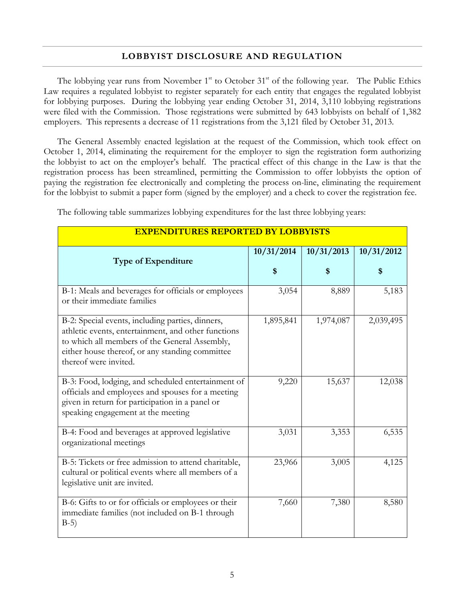#### **LOBBYIST DISCLOSURE AND REGULATION**

The lobbying year runs from November  $1<sup>st</sup>$  to October  $31<sup>st</sup>$  of the following year. The Public Ethics Law requires a regulated lobbyist to register separately for each entity that engages the regulated lobbyist for lobbying purposes. During the lobbying year ending October 31, 2014, 3,110 lobbying registrations were filed with the Commission. Those registrations were submitted by 643 lobbyists on behalf of 1,382 employers. This represents a decrease of 11 registrations from the 3,121 filed by October 31, 2013.

The General Assembly enacted legislation at the request of the Commission, which took effect on October 1, 2014, eliminating the requirement for the employer to sign the registration form authorizing the lobbyist to act on the employer's behalf. The practical effect of this change in the Law is that the registration process has been streamlined, permitting the Commission to offer lobbyists the option of paying the registration fee electronically and completing the process on-line, eliminating the requirement for the lobbyist to submit a paper form (signed by the employer) and a check to cover the registration fee.

| <b>EXPENDITURES REPORTED BY LOBBYISTS</b>                                                                                                                                                                                            |                  |            |                  |
|--------------------------------------------------------------------------------------------------------------------------------------------------------------------------------------------------------------------------------------|------------------|------------|------------------|
| <b>Type of Expenditure</b>                                                                                                                                                                                                           | 10/31/2014<br>\$ | 10/31/2013 | 10/31/2012<br>\$ |
|                                                                                                                                                                                                                                      |                  |            |                  |
| B-1: Meals and beverages for officials or employees<br>or their immediate families                                                                                                                                                   | 3,054            | 8,889      | 5,183            |
| B-2: Special events, including parties, dinners,<br>athletic events, entertainment, and other functions<br>to which all members of the General Assembly,<br>either house thereof, or any standing committee<br>thereof were invited. | 1,895,841        | 1,974,087  | 2,039,495        |
| B-3: Food, lodging, and scheduled entertainment of<br>officials and employees and spouses for a meeting<br>given in return for participation in a panel or<br>speaking engagement at the meeting                                     | 9,220            | 15,637     | 12,038           |
| B-4: Food and beverages at approved legislative<br>organizational meetings                                                                                                                                                           | 3,031            | 3,353      | 6,535            |
| B-5: Tickets or free admission to attend charitable,<br>cultural or political events where all members of a<br>legislative unit are invited.                                                                                         | 23,966           | 3,005      | 4,125            |
| B-6: Gifts to or for officials or employees or their<br>immediate families (not included on B-1 through<br>$B-5)$                                                                                                                    | 7,660            | 7,380      | 8,580            |

The following table summarizes lobbying expenditures for the last three lobbying years: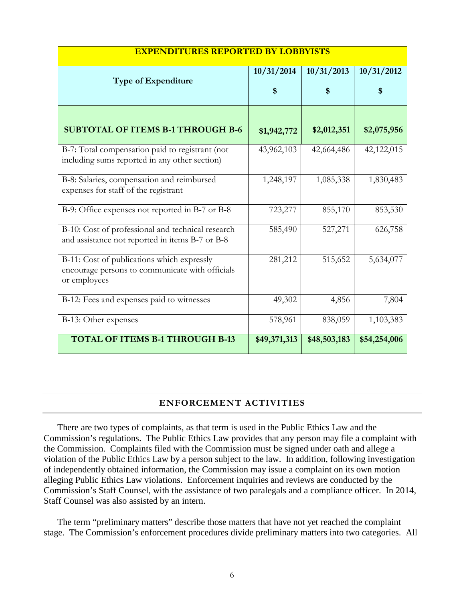| <b>EXPENDITURES REPORTED BY LOBBYISTS</b>                                                                     |                  |                  |                  |
|---------------------------------------------------------------------------------------------------------------|------------------|------------------|------------------|
| <b>Type of Expenditure</b>                                                                                    | 10/31/2014<br>\$ | 10/31/2013<br>\$ | 10/31/2012<br>\$ |
| <b>SUBTOTAL OF ITEMS B-1 THROUGH B-6</b>                                                                      | \$1,942,772      | \$2,012,351      | \$2,075,956      |
| B-7: Total compensation paid to registrant (not<br>including sums reported in any other section)              | 43,962,103       | 42,664,486       | 42,122,015       |
| B-8: Salaries, compensation and reimbursed<br>expenses for staff of the registrant                            | 1,248,197        | 1,085,338        | 1,830,483        |
| B-9: Office expenses not reported in B-7 or B-8                                                               | 723,277          | 855,170          | 853,530          |
| B-10: Cost of professional and technical research<br>and assistance not reported in items B-7 or B-8          | 585,490          | 527,271          | 626,758          |
| B-11: Cost of publications which expressly<br>encourage persons to communicate with officials<br>or employees | 281,212          | 515,652          | 5,634,077        |
| B-12: Fees and expenses paid to witnesses                                                                     | 49,302           | 4,856            | 7,804            |
| B-13: Other expenses                                                                                          | 578,961          | 838,059          | 1,103,383        |
| <b>TOTAL OF ITEMS B-1 THROUGH B-13</b>                                                                        | \$49,371,313     | \$48,503,183     | \$54,254,006     |

## **ENFORCEMENT ACTIVITIES**

There are two types of complaints, as that term is used in the Public Ethics Law and the Commission's regulations. The Public Ethics Law provides that any person may file a complaint with the Commission. Complaints filed with the Commission must be signed under oath and allege a violation of the Public Ethics Law by a person subject to the law. In addition, following investigation of independently obtained information, the Commission may issue a complaint on its own motion alleging Public Ethics Law violations. Enforcement inquiries and reviews are conducted by the Commission's Staff Counsel, with the assistance of two paralegals and a compliance officer. In 2014, Staff Counsel was also assisted by an intern.

The term "preliminary matters" describe those matters that have not yet reached the complaint stage. The Commission's enforcement procedures divide preliminary matters into two categories. All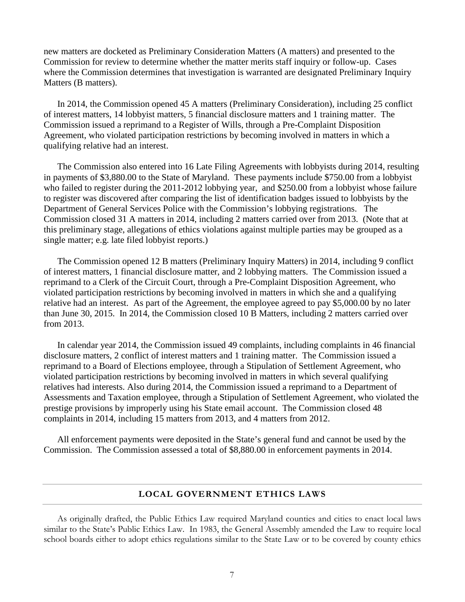new matters are docketed as Preliminary Consideration Matters (A matters) and presented to the Commission for review to determine whether the matter merits staff inquiry or follow-up. Cases where the Commission determines that investigation is warranted are designated Preliminary Inquiry Matters (B matters).

In 2014, the Commission opened 45 A matters (Preliminary Consideration), including 25 conflict of interest matters, 14 lobbyist matters, 5 financial disclosure matters and 1 training matter. The Commission issued a reprimand to a Register of Wills, through a Pre-Complaint Disposition Agreement, who violated participation restrictions by becoming involved in matters in which a qualifying relative had an interest.

The Commission also entered into 16 Late Filing Agreements with lobbyists during 2014, resulting in payments of \$3,880.00 to the State of Maryland. These payments include \$750.00 from a lobbyist who failed to register during the 2011-2012 lobbying year, and \$250.00 from a lobbyist whose failure to register was discovered after comparing the list of identification badges issued to lobbyists by the Department of General Services Police with the Commission's lobbying registrations. The Commission closed 31 A matters in 2014, including 2 matters carried over from 2013. (Note that at this preliminary stage, allegations of ethics violations against multiple parties may be grouped as a single matter; e.g. late filed lobbyist reports.)

The Commission opened 12 B matters (Preliminary Inquiry Matters) in 2014, including 9 conflict of interest matters, 1 financial disclosure matter, and 2 lobbying matters. The Commission issued a reprimand to a Clerk of the Circuit Court, through a Pre-Complaint Disposition Agreement, who violated participation restrictions by becoming involved in matters in which she and a qualifying relative had an interest. As part of the Agreement, the employee agreed to pay \$5,000.00 by no later than June 30, 2015. In 2014, the Commission closed 10 B Matters, including 2 matters carried over from 2013.

In calendar year 2014, the Commission issued 49 complaints, including complaints in 46 financial disclosure matters, 2 conflict of interest matters and 1 training matter. The Commission issued a reprimand to a Board of Elections employee, through a Stipulation of Settlement Agreement, who violated participation restrictions by becoming involved in matters in which several qualifying relatives had interests. Also during 2014, the Commission issued a reprimand to a Department of Assessments and Taxation employee, through a Stipulation of Settlement Agreement, who violated the prestige provisions by improperly using his State email account. The Commission closed 48 complaints in 2014, including 15 matters from 2013, and 4 matters from 2012.

All enforcement payments were deposited in the State's general fund and cannot be used by the Commission. The Commission assessed a total of \$8,880.00 in enforcement payments in 2014.

#### **LOCAL GOVERNMENT ETHICS LAWS**

As originally drafted, the Public Ethics Law required Maryland counties and cities to enact local laws similar to the State's Public Ethics Law. In 1983, the General Assembly amended the Law to require local school boards either to adopt ethics regulations similar to the State Law or to be covered by county ethics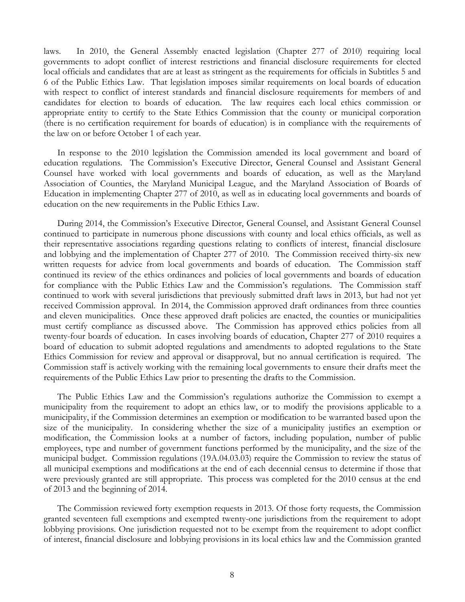laws. In 2010, the General Assembly enacted legislation (Chapter 277 of 2010) requiring local governments to adopt conflict of interest restrictions and financial disclosure requirements for elected local officials and candidates that are at least as stringent as the requirements for officials in Subtitles 5 and 6 of the Public Ethics Law. That legislation imposes similar requirements on local boards of education with respect to conflict of interest standards and financial disclosure requirements for members of and candidates for election to boards of education. The law requires each local ethics commission or appropriate entity to certify to the State Ethics Commission that the county or municipal corporation (there is no certification requirement for boards of education) is in compliance with the requirements of the law on or before October 1 of each year.

In response to the 2010 legislation the Commission amended its local government and board of education regulations. The Commission's Executive Director, General Counsel and Assistant General Counsel have worked with local governments and boards of education, as well as the Maryland Association of Counties, the Maryland Municipal League, and the Maryland Association of Boards of Education in implementing Chapter 277 of 2010, as well as in educating local governments and boards of education on the new requirements in the Public Ethics Law.

During 2014, the Commission's Executive Director, General Counsel, and Assistant General Counsel continued to participate in numerous phone discussions with county and local ethics officials, as well as their representative associations regarding questions relating to conflicts of interest, financial disclosure and lobbying and the implementation of Chapter 277 of 2010. The Commission received thirty-six new written requests for advice from local governments and boards of education. The Commission staff continued its review of the ethics ordinances and policies of local governments and boards of education for compliance with the Public Ethics Law and the Commission's regulations. The Commission staff continued to work with several jurisdictions that previously submitted draft laws in 2013, but had not yet received Commission approval. In 2014, the Commission approved draft ordinances from three counties and eleven municipalities. Once these approved draft policies are enacted, the counties or municipalities must certify compliance as discussed above. The Commission has approved ethics policies from all twenty-four boards of education. In cases involving boards of education, Chapter 277 of 2010 requires a board of education to submit adopted regulations and amendments to adopted regulations to the State Ethics Commission for review and approval or disapproval, but no annual certification is required. The Commission staff is actively working with the remaining local governments to ensure their drafts meet the requirements of the Public Ethics Law prior to presenting the drafts to the Commission.

The Public Ethics Law and the Commission's regulations authorize the Commission to exempt a municipality from the requirement to adopt an ethics law, or to modify the provisions applicable to a municipality, if the Commission determines an exemption or modification to be warranted based upon the size of the municipality. In considering whether the size of a municipality justifies an exemption or modification, the Commission looks at a number of factors, including population, number of public employees, type and number of government functions performed by the municipality, and the size of the municipal budget. Commission regulations (19A.04.03.03) require the Commission to review the status of all municipal exemptions and modifications at the end of each decennial census to determine if those that were previously granted are still appropriate. This process was completed for the 2010 census at the end of 2013 and the beginning of 2014.

The Commission reviewed forty exemption requests in 2013. Of those forty requests, the Commission granted seventeen full exemptions and exempted twenty-one jurisdictions from the requirement to adopt lobbying provisions. One jurisdiction requested not to be exempt from the requirement to adopt conflict of interest, financial disclosure and lobbying provisions in its local ethics law and the Commission granted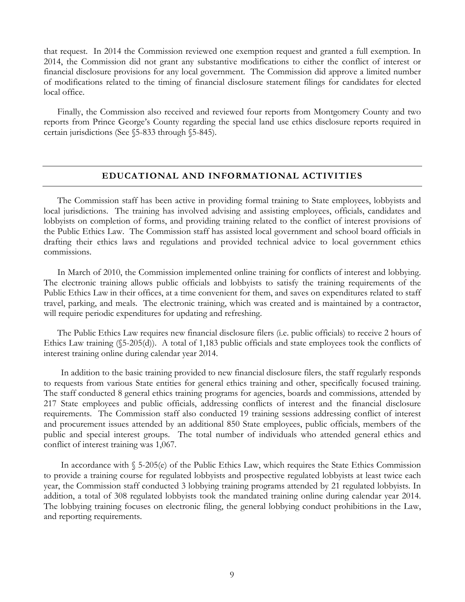that request. In 2014 the Commission reviewed one exemption request and granted a full exemption. In 2014, the Commission did not grant any substantive modifications to either the conflict of interest or financial disclosure provisions for any local government. The Commission did approve a limited number of modifications related to the timing of financial disclosure statement filings for candidates for elected local office.

Finally, the Commission also received and reviewed four reports from Montgomery County and two reports from Prince George's County regarding the special land use ethics disclosure reports required in certain jurisdictions (See §5-833 through §5-845).

#### **EDUCATIONAL AND INFORMATIONAL ACTIVITIES**

The Commission staff has been active in providing formal training to State employees, lobbyists and local jurisdictions. The training has involved advising and assisting employees, officials, candidates and lobbyists on completion of forms, and providing training related to the conflict of interest provisions of the Public Ethics Law. The Commission staff has assisted local government and school board officials in drafting their ethics laws and regulations and provided technical advice to local government ethics commissions.

In March of 2010, the Commission implemented online training for conflicts of interest and lobbying. The electronic training allows public officials and lobbyists to satisfy the training requirements of the Public Ethics Law in their offices, at a time convenient for them, and saves on expenditures related to staff travel, parking, and meals. The electronic training, which was created and is maintained by a contractor, will require periodic expenditures for updating and refreshing.

The Public Ethics Law requires new financial disclosure filers (i.e. public officials) to receive 2 hours of Ethics Law training (§5-205(d)). A total of 1,183 public officials and state employees took the conflicts of interest training online during calendar year 2014.

In addition to the basic training provided to new financial disclosure filers, the staff regularly responds to requests from various State entities for general ethics training and other, specifically focused training. The staff conducted 8 general ethics training programs for agencies, boards and commissions, attended by 217 State employees and public officials, addressing conflicts of interest and the financial disclosure requirements. The Commission staff also conducted 19 training sessions addressing conflict of interest and procurement issues attended by an additional 850 State employees, public officials, members of the public and special interest groups. The total number of individuals who attended general ethics and conflict of interest training was 1,067.

In accordance with § 5-205(e) of the Public Ethics Law, which requires the State Ethics Commission to provide a training course for regulated lobbyists and prospective regulated lobbyists at least twice each year, the Commission staff conducted 3 lobbying training programs attended by 21 regulated lobbyists. In addition, a total of 308 regulated lobbyists took the mandated training online during calendar year 2014. The lobbying training focuses on electronic filing, the general lobbying conduct prohibitions in the Law, and reporting requirements.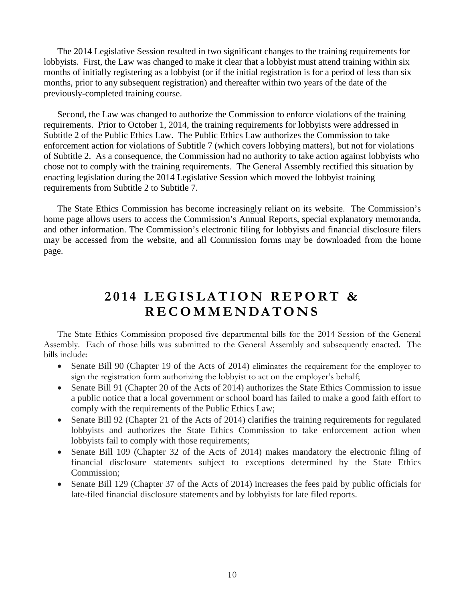The 2014 Legislative Session resulted in two significant changes to the training requirements for lobbyists. First, the Law was changed to make it clear that a lobbyist must attend training within six months of initially registering as a lobbyist (or if the initial registration is for a period of less than six months, prior to any subsequent registration) and thereafter within two years of the date of the previously-completed training course.

Second, the Law was changed to authorize the Commission to enforce violations of the training requirements. Prior to October 1, 2014, the training requirements for lobbyists were addressed in Subtitle 2 of the Public Ethics Law. The Public Ethics Law authorizes the Commission to take enforcement action for violations of Subtitle 7 (which covers lobbying matters), but not for violations of Subtitle 2. As a consequence, the Commission had no authority to take action against lobbyists who chose not to comply with the training requirements. The General Assembly rectified this situation by enacting legislation during the 2014 Legislative Session which moved the lobbyist training requirements from Subtitle 2 to Subtitle 7.

The State Ethics Commission has become increasingly reliant on its website. The Commission's home page allows users to access the Commission's Annual Reports, special explanatory memoranda, and other information. The Commission's electronic filing for lobbyists and financial disclosure filers may be accessed from the website, and all Commission forms may be downloaded from the home page.

# **201 4 LEGISLATION REPORT & RECOMMENDATONS**

The State Ethics Commission proposed five departmental bills for the 2014 Session of the General Assembly. Each of those bills was submitted to the General Assembly and subsequently enacted. The bills include:

- Senate Bill 90 (Chapter 19 of the Acts of 2014) eliminates the requirement for the employer to sign the registration form authorizing the lobbyist to act on the employer's behalf;
- Senate Bill 91 (Chapter 20 of the Acts of 2014) authorizes the State Ethics Commission to issue a public notice that a local government or school board has failed to make a good faith effort to comply with the requirements of the Public Ethics Law;
- Senate Bill 92 (Chapter 21 of the Acts of 2014) clarifies the training requirements for regulated lobbyists and authorizes the State Ethics Commission to take enforcement action when lobbyists fail to comply with those requirements;
- Senate Bill 109 (Chapter 32 of the Acts of 2014) makes mandatory the electronic filing of financial disclosure statements subject to exceptions determined by the State Ethics Commission;
- Senate Bill 129 (Chapter 37 of the Acts of 2014) increases the fees paid by public officials for late-filed financial disclosure statements and by lobbyists for late filed reports.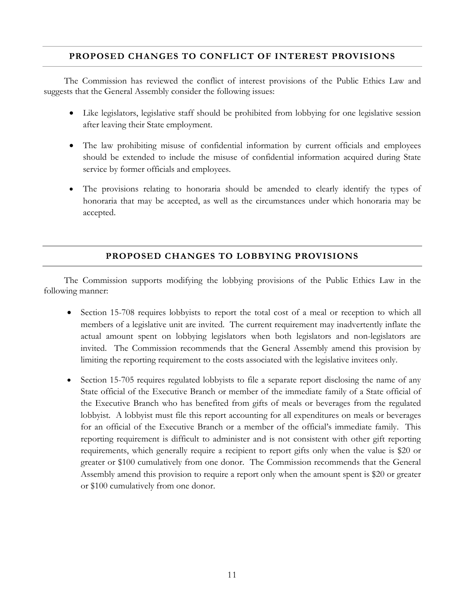#### **PROPOSED CHANGES TO CONFLICT OF INTEREST PROVISIONS**

The Commission has reviewed the conflict of interest provisions of the Public Ethics Law and suggests that the General Assembly consider the following issues:

- Like legislators, legislative staff should be prohibited from lobbying for one legislative session after leaving their State employment.
- The law prohibiting misuse of confidential information by current officials and employees should be extended to include the misuse of confidential information acquired during State service by former officials and employees.
- The provisions relating to honoraria should be amended to clearly identify the types of honoraria that may be accepted, as well as the circumstances under which honoraria may be accepted.

#### **PROPOSED CHANGES TO LOBBYING PROVISIONS**

The Commission supports modifying the lobbying provisions of the Public Ethics Law in the following manner:

- Section 15-708 requires lobbyists to report the total cost of a meal or reception to which all members of a legislative unit are invited. The current requirement may inadvertently inflate the actual amount spent on lobbying legislators when both legislators and non-legislators are invited. The Commission recommends that the General Assembly amend this provision by limiting the reporting requirement to the costs associated with the legislative invitees only.
- Section 15-705 requires regulated lobbyists to file a separate report disclosing the name of any State official of the Executive Branch or member of the immediate family of a State official of the Executive Branch who has benefited from gifts of meals or beverages from the regulated lobbyist. A lobbyist must file this report accounting for all expenditures on meals or beverages for an official of the Executive Branch or a member of the official's immediate family. This reporting requirement is difficult to administer and is not consistent with other gift reporting requirements, which generally require a recipient to report gifts only when the value is \$20 or greater or \$100 cumulatively from one donor. The Commission recommends that the General Assembly amend this provision to require a report only when the amount spent is \$20 or greater or \$100 cumulatively from one donor.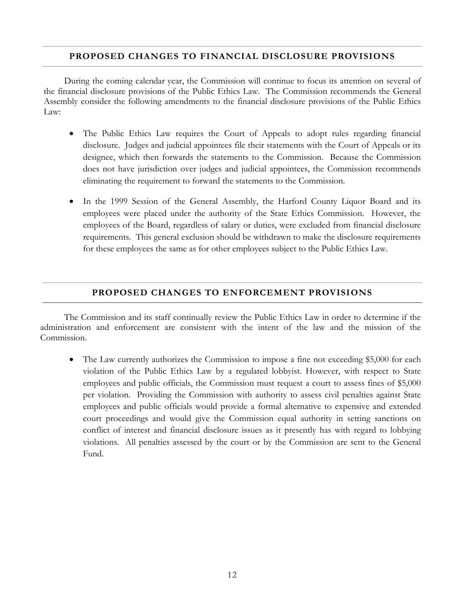#### **PROPOSED CHANGES TO FINANCIAL DISCLOSURE PROVISIONS**

During the coming calendar year, the Commission will continue to focus its attention on several of the financial disclosure provisions of the Public Ethics Law. The Commission recommends the General Assembly consider the following amendments to the financial disclosure provisions of the Public Ethics Law:

- The Public Ethics Law requires the Court of Appeals to adopt rules regarding financial disclosure. Judges and judicial appointees file their statements with the Court of Appeals or its designee, which then forwards the statements to the Commission. Because the Commission does not have jurisdiction over judges and judicial appointees, the Commission recommends eliminating the requirement to forward the statements to the Commission.
- In the 1999 Session of the General Assembly, the Harford County Liquor Board and its employees were placed under the authority of the State Ethics Commission. However, the employees of the Board, regardless of salary or duties, were excluded from financial disclosure requirements. This general exclusion should be withdrawn to make the disclosure requirements for these employees the same as for other employees subject to the Public Ethics Law.

## **PROPOSED CHANGES TO ENFORCEMENT PROVISIONS**

The Commission and its staff continually review the Public Ethics Law in order to determine if the administration and enforcement are consistent with the intent of the law and the mission of the Commission.

• The Law currently authorizes the Commission to impose a fine not exceeding \$5,000 for each violation of the Public Ethics Law by a regulated lobbyist. However, with respect to State employees and public officials, the Commission must request a court to assess fines of \$5,000 per violation. Providing the Commission with authority to assess civil penalties against State employees and public officials would provide a formal alternative to expensive and extended court proceedings and would give the Commission equal authority in setting sanctions on conflict of interest and financial disclosure issues as it presently has with regard to lobbying violations. All penalties assessed by the court or by the Commission are sent to the General Fund.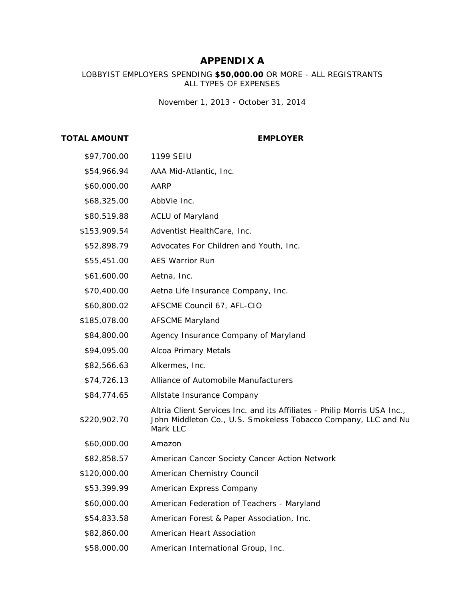# **APPENDIX A**

#### LOBBYIST EMPLOYERS SPENDING **\$50,000.00** OR MORE - ALL REGISTRANTS ALL TYPES OF EXPENSES

*November 1, 2013 - October 31, 2014*

#### **TOTAL AMOUNT EMPLOYER**

| \$97,700.00  | 1199 SEIU                                                                                                                                              |
|--------------|--------------------------------------------------------------------------------------------------------------------------------------------------------|
| \$54,966.94  | AAA Mid-Atlantic, Inc.                                                                                                                                 |
| \$60,000.00  | AARP                                                                                                                                                   |
| \$68,325.00  | AbbVie Inc.                                                                                                                                            |
| \$80,519.88  | <b>ACLU of Maryland</b>                                                                                                                                |
| \$153,909.54 | Adventist HealthCare, Inc.                                                                                                                             |
| \$52,898.79  | Advocates For Children and Youth, Inc.                                                                                                                 |
| \$55,451.00  | <b>AES Warrior Run</b>                                                                                                                                 |
| \$61,600.00  | Aetna, Inc.                                                                                                                                            |
| \$70,400.00  | Aetna Life Insurance Company, Inc.                                                                                                                     |
| \$60,800.02  | AFSCME Council 67, AFL-CIO                                                                                                                             |
| \$185,078.00 | <b>AFSCME Maryland</b>                                                                                                                                 |
| \$84,800.00  | Agency Insurance Company of Maryland                                                                                                                   |
| \$94,095.00  | Alcoa Primary Metals                                                                                                                                   |
| \$82,566.63  | Alkermes, Inc.                                                                                                                                         |
| \$74,726.13  | Alliance of Automobile Manufacturers                                                                                                                   |
| \$84,774.65  | Allstate Insurance Company                                                                                                                             |
| \$220,902.70 | Altria Client Services Inc. and its Affiliates - Philip Morris USA Inc.,<br>John Middleton Co., U.S. Smokeless Tobacco Company, LLC and Nu<br>Mark LLC |
| \$60,000.00  | Amazon                                                                                                                                                 |
| \$82,858.57  | American Cancer Society Cancer Action Network                                                                                                          |
| \$120,000.00 | American Chemistry Council                                                                                                                             |
| \$53,399.99  | American Express Company                                                                                                                               |
| \$60,000.00  | American Federation of Teachers - Maryland                                                                                                             |
| \$54,833.58  | American Forest & Paper Association, Inc.                                                                                                              |
| \$82,860.00  | American Heart Association                                                                                                                             |
| \$58,000.00  | American International Group, Inc.                                                                                                                     |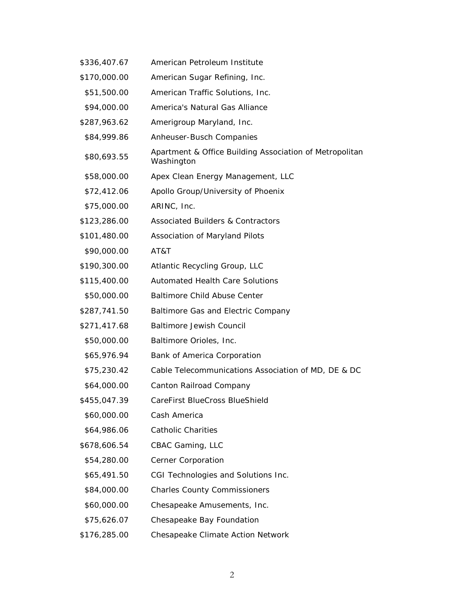| \$336,407.67 | American Petroleum Institute                                          |
|--------------|-----------------------------------------------------------------------|
| \$170,000.00 | American Sugar Refining, Inc.                                         |
| \$51,500.00  | American Traffic Solutions, Inc.                                      |
| \$94,000.00  | America's Natural Gas Alliance                                        |
| \$287,963.62 | Amerigroup Maryland, Inc.                                             |
| \$84,999.86  | Anheuser-Busch Companies                                              |
| \$80,693.55  | Apartment & Office Building Association of Metropolitan<br>Washington |
| \$58,000.00  | Apex Clean Energy Management, LLC                                     |
| \$72,412.06  | Apollo Group/University of Phoenix                                    |
| \$75,000.00  | ARINC, Inc.                                                           |
| \$123,286.00 | <b>Associated Builders &amp; Contractors</b>                          |
| \$101,480.00 | Association of Maryland Pilots                                        |
| \$90,000.00  | AT&T                                                                  |
| \$190,300.00 | Atlantic Recycling Group, LLC                                         |
| \$115,400.00 | <b>Automated Health Care Solutions</b>                                |
| \$50,000.00  | <b>Baltimore Child Abuse Center</b>                                   |
| \$287,741.50 | Baltimore Gas and Electric Company                                    |
| \$271,417.68 | <b>Baltimore Jewish Council</b>                                       |
| \$50,000.00  | Baltimore Orioles, Inc.                                               |
| \$65,976.94  | Bank of America Corporation                                           |
| \$75,230.42  | Cable Telecommunications Association of MD, DE & DC                   |
| \$64,000.00  | Canton Railroad Company                                               |
| \$455,047.39 | CareFirst BlueCross BlueShield                                        |
| \$60,000.00  | Cash America                                                          |
| \$64,986.06  | <b>Catholic Charities</b>                                             |
| \$678,606.54 | CBAC Gaming, LLC                                                      |
| \$54,280.00  | Cerner Corporation                                                    |
| \$65,491.50  | CGI Technologies and Solutions Inc.                                   |
| \$84,000.00  | <b>Charles County Commissioners</b>                                   |
| \$60,000.00  | Chesapeake Amusements, Inc.                                           |
| \$75,626.07  | Chesapeake Bay Foundation                                             |
| \$176,285.00 | Chesapeake Climate Action Network                                     |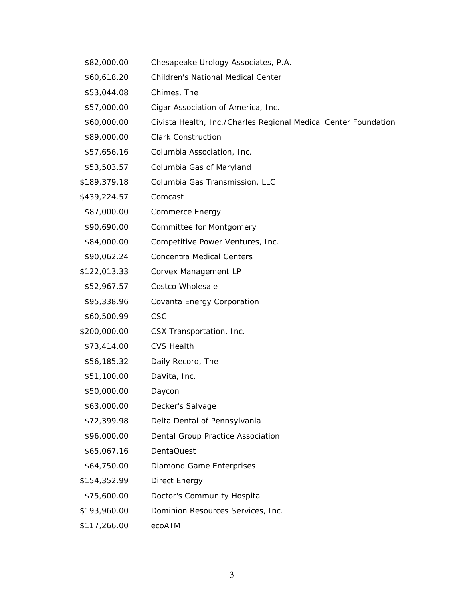- \$82,000.00 Chesapeake Urology Associates, P.A.
- \$60,618.20 Children's National Medical Center
- \$53,044.08 Chimes, The
- \$57,000.00 Cigar Association of America, Inc.
- \$60,000.00 Civista Health, Inc./Charles Regional Medical Center Foundation
- \$89,000.00 Clark Construction
- \$57,656.16 Columbia Association, Inc.
- \$53,503.57 Columbia Gas of Maryland
- \$189,379.18 Columbia Gas Transmission, LLC
- \$439,224.57 Comcast
- \$87,000.00 Commerce Energy
- \$90,690.00 Committee for Montgomery
- \$84,000.00 Competitive Power Ventures, Inc.
- \$90,062.24 Concentra Medical Centers
- \$122,013.33 Corvex Management LP
- \$52,967.57 Costco Wholesale
- \$95,338.96 Covanta Energy Corporation
- \$60,500.99 CSC
- \$200,000.00 CSX Transportation, Inc.
- \$73,414.00 CVS Health
- \$56,185.32 Daily Record, The
- \$51,100.00 DaVita, Inc.
- \$50,000.00 Daycon
- \$63,000.00 Decker's Salvage
- \$72,399.98 Delta Dental of Pennsylvania
- \$96,000.00 Dental Group Practice Association
- \$65,067.16 DentaQuest
- \$64,750.00 Diamond Game Enterprises
- \$154,352.99 Direct Energy
- \$75,600.00 Doctor's Community Hospital
- \$193,960.00 Dominion Resources Services, Inc.
- \$117,266.00 ecoATM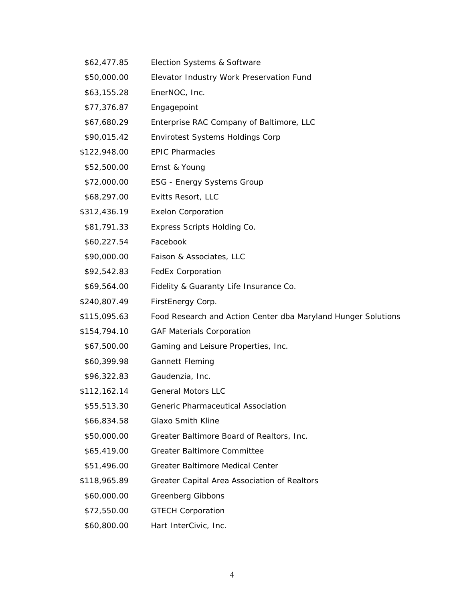| \$62,477.85  | Election Systems & Software                                   |
|--------------|---------------------------------------------------------------|
| \$50,000.00  | Elevator Industry Work Preservation Fund                      |
| \$63,155.28  | EnerNOC, Inc.                                                 |
| \$77,376.87  | Engagepoint                                                   |
| \$67,680.29  | Enterprise RAC Company of Baltimore, LLC                      |
| \$90,015.42  | <b>Envirotest Systems Holdings Corp</b>                       |
| \$122,948.00 | <b>EPIC Pharmacies</b>                                        |
| \$52,500.00  | Ernst & Young                                                 |
| \$72,000.00  | <b>ESG - Energy Systems Group</b>                             |
| \$68,297.00  | Evitts Resort, LLC                                            |
| \$312,436.19 | <b>Exelon Corporation</b>                                     |
| \$81,791.33  | Express Scripts Holding Co.                                   |
| \$60,227.54  | Facebook                                                      |
| \$90,000.00  | Faison & Associates, LLC                                      |
| \$92,542.83  | <b>FedEx Corporation</b>                                      |
| \$69,564.00  | Fidelity & Guaranty Life Insurance Co.                        |
| \$240,807.49 | FirstEnergy Corp.                                             |
| \$115,095.63 | Food Research and Action Center dba Maryland Hunger Solutions |
| \$154,794.10 | <b>GAF Materials Corporation</b>                              |
| \$67,500.00  | Gaming and Leisure Properties, Inc.                           |
| \$60,399.98  | <b>Gannett Fleming</b>                                        |
| \$96,322.83  | Gaudenzia, Inc.                                               |
| \$112,162.14 | <b>General Motors LLC</b>                                     |
| \$55,513.30  | Generic Pharmaceutical Association                            |
| \$66,834.58  | <b>Glaxo Smith Kline</b>                                      |
| \$50,000.00  | Greater Baltimore Board of Realtors, Inc.                     |
| \$65,419.00  | Greater Baltimore Committee                                   |
| \$51,496.00  | Greater Baltimore Medical Center                              |
| \$118,965.89 | Greater Capital Area Association of Realtors                  |
| \$60,000.00  | Greenberg Gibbons                                             |
| \$72,550.00  | <b>GTECH Corporation</b>                                      |
| \$60,800.00  | Hart InterCivic, Inc.                                         |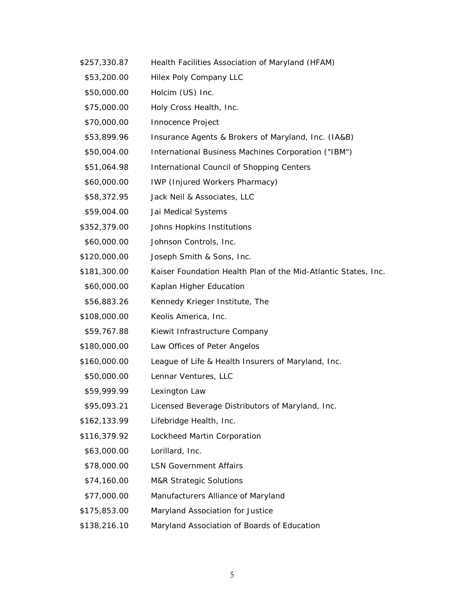\$257,330.87 Health Facilities Association of Maryland (HFAM) \$53,200.00 Hilex Poly Company LLC \$50,000.00 Holcim (US) Inc. \$75,000.00 Holy Cross Health, Inc. \$70,000.00 Innocence Project \$53,899.96 Insurance Agents & Brokers of Maryland, Inc. (IA&B) \$50,004.00 International Business Machines Corporation ("IBM") \$51,064.98 International Council of Shopping Centers \$60,000.00 IWP (Injured Workers Pharmacy) \$58,372.95 Jack Neil & Associates, LLC \$59,004.00 Jai Medical Systems \$352,379.00 Johns Hopkins Institutions \$60,000.00 Johnson Controls, Inc. \$120,000.00 Joseph Smith & Sons, Inc. \$181,300.00 Kaiser Foundation Health Plan of the Mid-Atlantic States, Inc. \$60,000.00 Kaplan Higher Education \$56,883.26 Kennedy Krieger Institute, The \$108,000.00 Keolis America, Inc. \$59,767.88 Kiewit Infrastructure Company \$180,000.00 Law Offices of Peter Angelos \$160,000.00 League of Life & Health Insurers of Maryland, Inc. \$50,000.00 Lennar Ventures, LLC \$59,999.99 Lexington Law \$95,093.21 Licensed Beverage Distributors of Maryland, Inc. \$162,133.99 Lifebridge Health, Inc. \$116,379.92 Lockheed Martin Corporation \$63,000.00 Lorillard, Inc. \$78,000.00 LSN Government Affairs \$74,160.00 M&R Strategic Solutions \$77,000.00 Manufacturers Alliance of Maryland \$175,853.00 Maryland Association for Justice \$138,216.10 Maryland Association of Boards of Education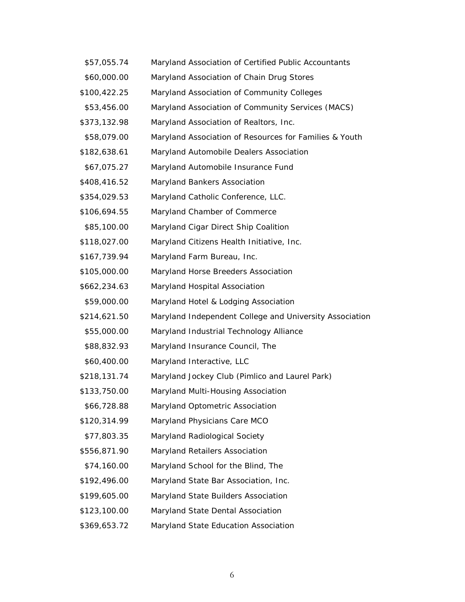| \$57,055.74  | Maryland Association of Certified Public Accountants    |
|--------------|---------------------------------------------------------|
| \$60,000.00  | Maryland Association of Chain Drug Stores               |
| \$100,422.25 | Maryland Association of Community Colleges              |
| \$53,456.00  | Maryland Association of Community Services (MACS)       |
| \$373,132.98 | Maryland Association of Realtors, Inc.                  |
| \$58,079.00  | Maryland Association of Resources for Families & Youth  |
| \$182,638.61 | Maryland Automobile Dealers Association                 |
| \$67,075.27  | Maryland Automobile Insurance Fund                      |
| \$408,416.52 | Maryland Bankers Association                            |
| \$354,029.53 | Maryland Catholic Conference, LLC.                      |
| \$106,694.55 | Maryland Chamber of Commerce                            |
| \$85,100.00  | Maryland Cigar Direct Ship Coalition                    |
| \$118,027.00 | Maryland Citizens Health Initiative, Inc.               |
| \$167,739.94 | Maryland Farm Bureau, Inc.                              |
| \$105,000.00 | Maryland Horse Breeders Association                     |
| \$662,234.63 | Maryland Hospital Association                           |
| \$59,000.00  | Maryland Hotel & Lodging Association                    |
| \$214,621.50 | Maryland Independent College and University Association |
| \$55,000.00  | Maryland Industrial Technology Alliance                 |
| \$88,832.93  | Maryland Insurance Council, The                         |
| \$60,400.00  | Maryland Interactive, LLC                               |
| \$218,131.74 | Maryland Jockey Club (Pimlico and Laurel Park)          |
| \$133,750.00 | Maryland Multi-Housing Association                      |
| \$66,728.88  | Maryland Optometric Association                         |
| \$120,314.99 | Maryland Physicians Care MCO                            |
| \$77,803.35  | Maryland Radiological Society                           |
| \$556,871.90 | Maryland Retailers Association                          |
| \$74,160.00  | Maryland School for the Blind, The                      |
| \$192,496.00 | Maryland State Bar Association, Inc.                    |
| \$199,605.00 | Maryland State Builders Association                     |
| \$123,100.00 | Maryland State Dental Association                       |
| \$369,653.72 | Maryland State Education Association                    |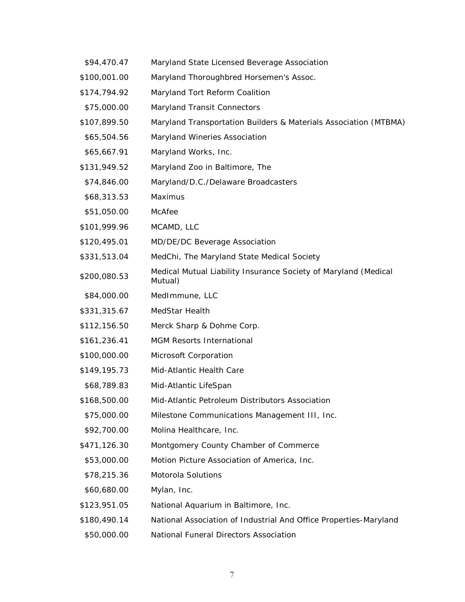| \$94,470.47  | Maryland State Licensed Beverage Association                               |
|--------------|----------------------------------------------------------------------------|
| \$100,001.00 | Maryland Thoroughbred Horsemen's Assoc.                                    |
| \$174,794.92 | Maryland Tort Reform Coalition                                             |
| \$75,000.00  | <b>Maryland Transit Connectors</b>                                         |
| \$107,899.50 | Maryland Transportation Builders & Materials Association (MTBMA)           |
| \$65,504.56  | Maryland Wineries Association                                              |
| \$65,667.91  | Maryland Works, Inc.                                                       |
| \$131,949.52 | Maryland Zoo in Baltimore, The                                             |
| \$74,846.00  | Maryland/D.C./Delaware Broadcasters                                        |
| \$68,313.53  | Maximus                                                                    |
| \$51,050.00  | McAfee                                                                     |
| \$101,999.96 | MCAMD, LLC                                                                 |
| \$120,495.01 | MD/DE/DC Beverage Association                                              |
| \$331,513.04 | MedChi, The Maryland State Medical Society                                 |
| \$200,080.53 | Medical Mutual Liability Insurance Society of Maryland (Medical<br>Mutual) |
| \$84,000.00  | MedImmune, LLC                                                             |
| \$331,315.67 | MedStar Health                                                             |
| \$112,156.50 | Merck Sharp & Dohme Corp.                                                  |
| \$161,236.41 | <b>MGM Resorts International</b>                                           |
| \$100,000.00 | Microsoft Corporation                                                      |
| \$149,195.73 | Mid-Atlantic Health Care                                                   |
| \$68,789.83  | Mid-Atlantic LifeSpan                                                      |
| \$168,500.00 | Mid-Atlantic Petroleum Distributors Association                            |
| \$75,000.00  | Milestone Communications Management III, Inc.                              |
| \$92,700.00  | Molina Healthcare, Inc.                                                    |
| \$471,126.30 | Montgomery County Chamber of Commerce                                      |
| \$53,000.00  | Motion Picture Association of America, Inc.                                |
| \$78,215.36  | Motorola Solutions                                                         |
| \$60,680.00  | Mylan, Inc.                                                                |
| \$123,951.05 | National Aquarium in Baltimore, Inc.                                       |
| \$180,490.14 | National Association of Industrial And Office Properties-Maryland          |
| \$50,000.00  | National Funeral Directors Association                                     |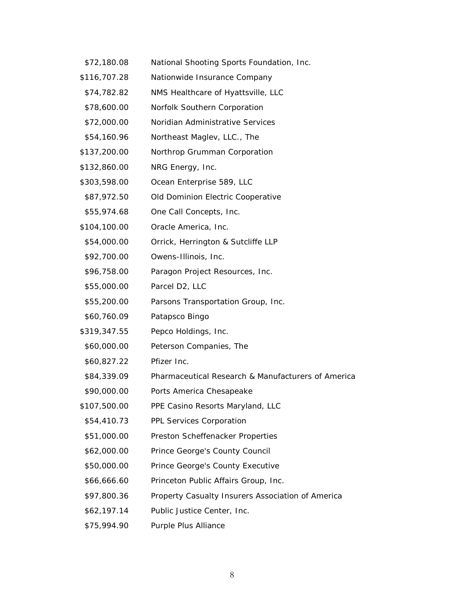| \$72,180.08  | National Shooting Sports Foundation, Inc.          |
|--------------|----------------------------------------------------|
| \$116,707.28 | Nationwide Insurance Company                       |
| \$74,782.82  | NMS Healthcare of Hyattsville, LLC                 |
| \$78,600.00  | Norfolk Southern Corporation                       |
| \$72,000.00  | Noridian Administrative Services                   |
| \$54,160.96  | Northeast Maglev, LLC., The                        |
| \$137,200.00 | Northrop Grumman Corporation                       |
| \$132,860.00 | NRG Energy, Inc.                                   |
| \$303,598.00 | Ocean Enterprise 589, LLC                          |
| \$87,972.50  | Old Dominion Electric Cooperative                  |
| \$55,974.68  | One Call Concepts, Inc.                            |
| \$104,100.00 | Oracle America, Inc.                               |
| \$54,000.00  | Orrick, Herrington & Sutcliffe LLP                 |
| \$92,700.00  | Owens-Illinois, Inc.                               |
| \$96,758.00  | Paragon Project Resources, Inc.                    |
| \$55,000.00  | Parcel D2, LLC                                     |
| \$55,200.00  | Parsons Transportation Group, Inc.                 |
| \$60,760.09  | Patapsco Bingo                                     |
| \$319,347.55 | Pepco Holdings, Inc.                               |
| \$60,000.00  | Peterson Companies, The                            |
| \$60,827.22  | Pfizer Inc.                                        |
| \$84,339.09  | Pharmaceutical Research & Manufacturers of America |
| \$90,000.00  | Ports America Chesapeake                           |
| \$107,500.00 | PPE Casino Resorts Maryland, LLC                   |
| \$54,410.73  | PPL Services Corporation                           |
| \$51,000.00  | Preston Scheffenacker Properties                   |
| \$62,000.00  | Prince George's County Council                     |
| \$50,000.00  | Prince George's County Executive                   |
| \$66,666.60  | Princeton Public Affairs Group, Inc.               |
| \$97,800.36  | Property Casualty Insurers Association of America  |
| \$62,197.14  | Public Justice Center, Inc.                        |
| \$75,994.90  | Purple Plus Alliance                               |

8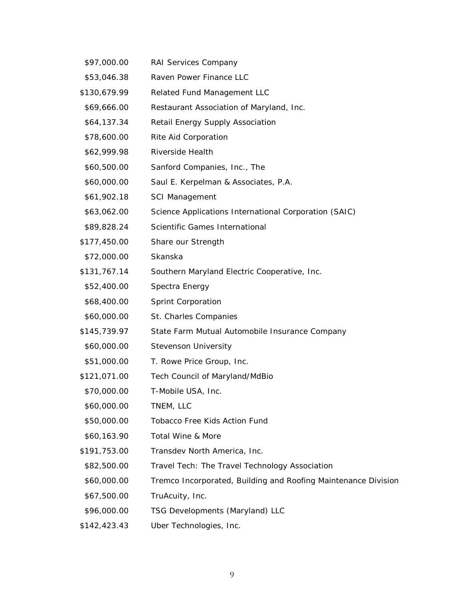\$97,000.00 RAI Services Company \$53,046.38 Raven Power Finance LLC \$130,679.99 Related Fund Management LLC \$69,666.00 Restaurant Association of Maryland, Inc. \$64,137.34 Retail Energy Supply Association \$78,600.00 Rite Aid Corporation \$62,999.98 Riverside Health \$60,500.00 Sanford Companies, Inc., The \$60,000.00 Saul E. Kerpelman & Associates, P.A. \$61,902.18 SCI Management \$63,062.00 Science Applications International Corporation (SAIC) \$89,828.24 Scientific Games International \$177,450.00 Share our Strength \$72,000.00 Skanska \$131,767.14 Southern Maryland Electric Cooperative, Inc. \$52,400.00 Spectra Energy \$68,400.00 Sprint Corporation \$60,000.00 St. Charles Companies \$145,739.97 State Farm Mutual Automobile Insurance Company \$60,000.00 Stevenson University \$51,000.00 T. Rowe Price Group, Inc. \$121,071.00 Tech Council of Maryland/MdBio \$70,000.00 T-Mobile USA, Inc. \$60,000.00 TNEM, LLC \$50,000.00 Tobacco Free Kids Action Fund \$60,163.90 Total Wine & More \$191,753.00 Transdev North America, Inc. \$82,500.00 Travel Tech: The Travel Technology Association \$60,000.00 Tremco Incorporated, Building and Roofing Maintenance Division \$67,500.00 TruAcuity, Inc. \$96,000.00 TSG Developments (Maryland) LLC \$142,423.43 Uber Technologies, Inc.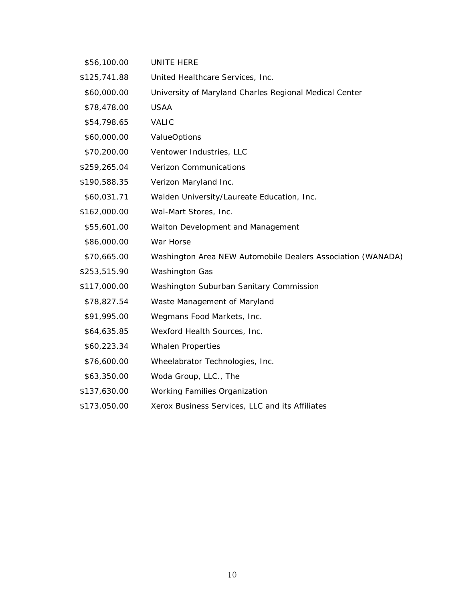| \$56,100.00  | UNITE HERE                                                  |
|--------------|-------------------------------------------------------------|
| \$125,741.88 | United Healthcare Services, Inc.                            |
| \$60,000.00  | University of Maryland Charles Regional Medical Center      |
| \$78,478.00  | <b>USAA</b>                                                 |
| \$54,798.65  | <b>VALIC</b>                                                |
| \$60,000.00  | <b>ValueOptions</b>                                         |
| \$70,200.00  | Ventower Industries, LLC                                    |
| \$259,265.04 | <b>Verizon Communications</b>                               |
| \$190,588.35 | Verizon Maryland Inc.                                       |
| \$60,031.71  | Walden University/Laureate Education, Inc.                  |
| \$162,000.00 | Wal-Mart Stores, Inc.                                       |
| \$55,601.00  | Walton Development and Management                           |
| \$86,000.00  | War Horse                                                   |
| \$70,665.00  | Washington Area NEW Automobile Dealers Association (WANADA) |
| \$253,515.90 | <b>Washington Gas</b>                                       |
| \$117,000.00 | Washington Suburban Sanitary Commission                     |
| \$78,827.54  | Waste Management of Maryland                                |
| \$91,995.00  | Wegmans Food Markets, Inc.                                  |
| \$64,635.85  | Wexford Health Sources, Inc.                                |
| \$60,223.34  | <b>Whalen Properties</b>                                    |
| \$76,600.00  | Wheelabrator Technologies, Inc.                             |
| \$63,350.00  | Woda Group, LLC., The                                       |
| \$137,630.00 | <b>Working Families Organization</b>                        |
| \$173,050.00 | Xerox Business Services, LLC and its Affiliates             |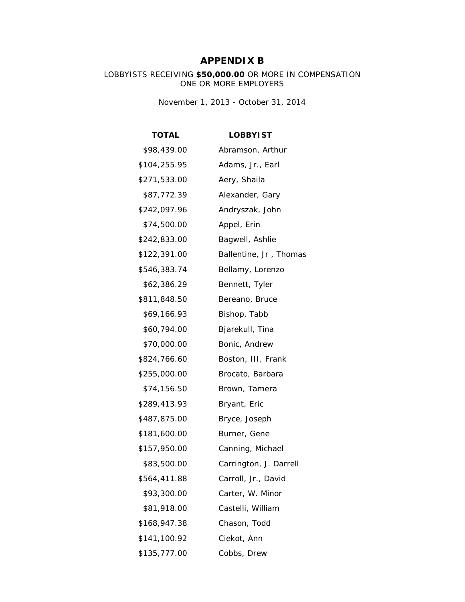# **APPENDIX B**

#### LOBBYISTS RECEIVING **\$50,000.00** OR MORE IN COMPENSATION ONE OR MORE EMPLOYERS

*November 1, 2013 - October 31, 2014*

| <b>TOTAL</b> | <b>LOBBYIST</b>        |
|--------------|------------------------|
| \$98,439.00  | Abramson, Arthur       |
| \$104,255.95 | Adams, Jr., Earl       |
| \$271,533.00 | Aery, Shaila           |
| \$87,772.39  | Alexander, Gary        |
| \$242,097.96 | Andryszak, John        |
| \$74,500.00  | Appel, Erin            |
| \$242,833.00 | Bagwell, Ashlie        |
| \$122,391.00 | Ballentine, Jr, Thomas |
| \$546,383.74 | Bellamy, Lorenzo       |
| \$62,386.29  | Bennett, Tyler         |
| \$811,848.50 | Bereano, Bruce         |
| \$69,166.93  | Bishop, Tabb           |
| \$60,794.00  | Bjarekull, Tina        |
| \$70,000.00  | Bonic, Andrew          |
| \$824,766.60 | Boston, III, Frank     |
| \$255,000.00 | Brocato, Barbara       |
| \$74,156.50  | Brown, Tamera          |
| \$289,413.93 | Bryant, Eric           |
| \$487,875.00 | Bryce, Joseph          |
| \$181,600.00 | Burner, Gene           |
| \$157,950.00 | Canning, Michael       |
| \$83,500.00  | Carrington, J. Darrell |
| \$564,411.88 | Carroll, Jr., David    |
| \$93,300.00  | Carter, W. Minor       |
| \$81,918.00  | Castelli, William      |
| \$168,947.38 | Chason, Todd           |
| \$141,100.92 | Ciekot, Ann            |
| \$135,777.00 | Cobbs, Drew            |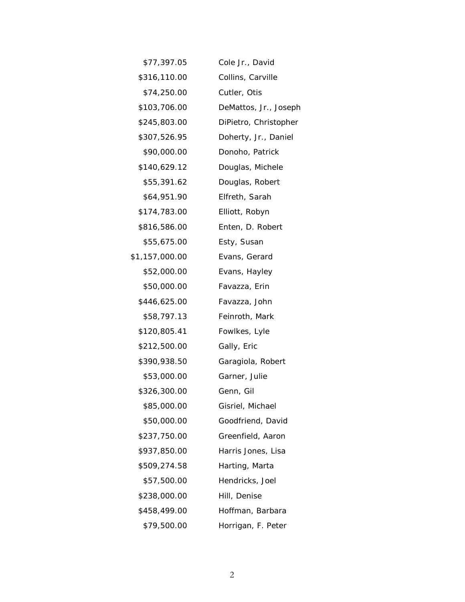| \$77,397.05    | Cole Jr., David       |
|----------------|-----------------------|
| \$316,110.00   | Collins, Carville     |
| \$74,250.00    | Cutler, Otis          |
| \$103,706.00   | DeMattos, Jr., Joseph |
| \$245,803.00   | DiPietro, Christopher |
| \$307,526.95   | Doherty, Jr., Daniel  |
| \$90,000.00    | Donoho, Patrick       |
| \$140,629.12   | Douglas, Michele      |
| \$55,391.62    | Douglas, Robert       |
| \$64,951.90    | Elfreth, Sarah        |
| \$174,783.00   | Elliott, Robyn        |
| \$816,586.00   | Enten, D. Robert      |
| \$55,675.00    | Esty, Susan           |
| \$1,157,000.00 | Evans, Gerard         |
| \$52,000.00    | Evans, Hayley         |
| \$50,000.00    | Favazza, Erin         |
| \$446,625.00   | Favazza, John         |
| \$58,797.13    | Feinroth, Mark        |
| \$120,805.41   | Fowlkes, Lyle         |
| \$212,500.00   | Gally, Eric           |
| \$390,938.50   | Garagiola, Robert     |
| \$53,000.00    | Garner, Julie         |
| \$326,300.00   | Genn, Gil             |
| \$85,000.00    | Gisriel, Michael      |
| \$50,000.00    | Goodfriend, David     |
| \$237,750.00   | Greenfield, Aaron     |
| \$937,850.00   | Harris Jones, Lisa    |
| \$509,274.58   | Harting, Marta        |
| \$57,500.00    | Hendricks, Joel       |
| \$238,000.00   | Hill, Denise          |
| \$458,499.00   | Hoffman, Barbara      |
| \$79,500.00    | Horrigan, F. Peter    |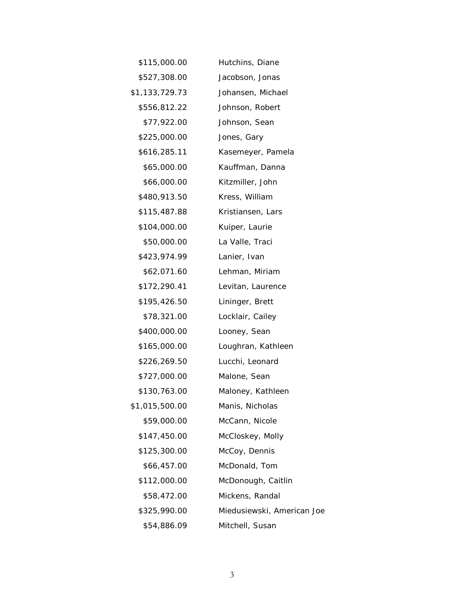| \$115,000.00   | Hutchins, Diane            |
|----------------|----------------------------|
| \$527,308.00   | Jacobson, Jonas            |
| \$1,133,729.73 | Johansen, Michael          |
| \$556,812.22   | Johnson, Robert            |
| \$77,922.00    | Johnson, Sean              |
| \$225,000.00   | Jones, Gary                |
| \$616,285.11   | Kasemeyer, Pamela          |
| \$65,000.00    | Kauffman, Danna            |
| \$66,000.00    | Kitzmiller, John           |
| \$480,913.50   | Kress, William             |
| \$115,487.88   | Kristiansen, Lars          |
| \$104,000.00   | Kuiper, Laurie             |
| \$50,000.00    | La Valle, Traci            |
| \$423,974.99   | Lanier, Ivan               |
| \$62,071.60    | Lehman, Miriam             |
| \$172,290.41   | Levitan, Laurence          |
| \$195,426.50   | Lininger, Brett            |
| \$78,321.00    | Locklair, Cailey           |
| \$400,000.00   | Looney, Sean               |
| \$165,000.00   | Loughran, Kathleen         |
| \$226,269.50   | Lucchi, Leonard            |
| \$727,000.00   | Malone, Sean               |
| \$130,763.00   | Maloney, Kathleen          |
| \$1,015,500.00 | Manis, Nicholas            |
| \$59,000.00    | McCann, Nicole             |
| \$147,450.00   | McCloskey, Molly           |
| \$125,300.00   | McCoy, Dennis              |
| \$66,457.00    | McDonald, Tom              |
| \$112,000.00   | McDonough, Caitlin         |
| \$58,472.00    | Mickens, Randal            |
| \$325,990.00   | Miedusiewski, American Joe |
| \$54,886.09    | Mitchell, Susan            |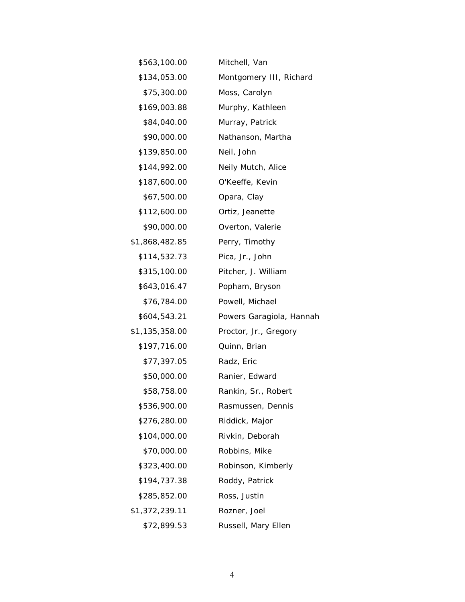| \$563,100.00   | Mitchell, Van            |
|----------------|--------------------------|
| \$134,053.00   | Montgomery III, Richard  |
| \$75,300.00    | Moss, Carolyn            |
| \$169,003.88   | Murphy, Kathleen         |
| \$84,040.00    | Murray, Patrick          |
| \$90,000.00    | Nathanson, Martha        |
| \$139,850.00   | Neil, John               |
| \$144,992.00   | Neily Mutch, Alice       |
| \$187,600.00   | O'Keeffe, Kevin          |
| \$67,500.00    | Opara, Clay              |
| \$112,600.00   | Ortiz, Jeanette          |
| \$90,000.00    | Overton, Valerie         |
| \$1,868,482.85 | Perry, Timothy           |
| \$114,532.73   | Pica, Jr., John          |
| \$315,100.00   | Pitcher, J. William      |
| \$643,016.47   | Popham, Bryson           |
| \$76,784.00    | Powell, Michael          |
| \$604,543.21   | Powers Garagiola, Hannah |
| \$1,135,358.00 | Proctor, Jr., Gregory    |
| \$197,716.00   | Quinn, Brian             |
| \$77,397.05    | Radz, Eric               |
| \$50,000.00    | Ranier, Edward           |
| \$58,758.00    | Rankin, Sr., Robert      |
| \$536,900.00   | Rasmussen, Dennis        |
| \$276,280.00   | Riddick, Major           |
| \$104,000.00   | Rivkin, Deborah          |
| \$70,000.00    | Robbins, Mike            |
| \$323,400.00   | Robinson, Kimberly       |
| \$194,737.38   | Roddy, Patrick           |
| \$285,852.00   | Ross, Justin             |
| \$1,372,239.11 | Rozner, Joel             |
| \$72,899.53    | Russell, Mary Ellen      |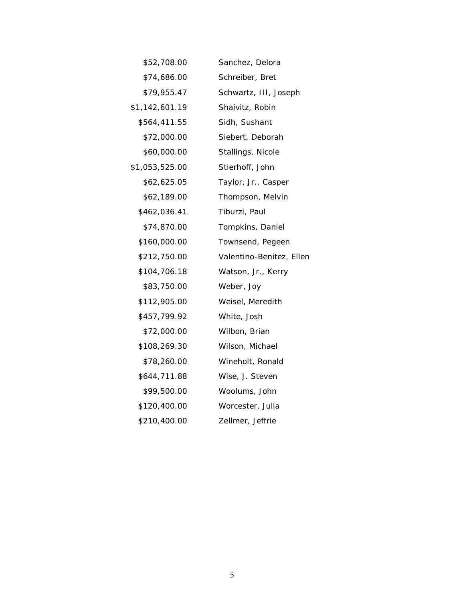| \$52,708.00    | Sanchez, Delora          |
|----------------|--------------------------|
| \$74,686.00    | Schreiber, Bret          |
| \$79,955.47    | Schwartz, III, Joseph    |
| \$1,142,601.19 | Shaivitz, Robin          |
| \$564,411.55   | Sidh, Sushant            |
| \$72,000.00    | Siebert, Deborah         |
| \$60,000.00    | Stallings, Nicole        |
| \$1,053,525.00 | Stierhoff, John          |
| \$62,625.05    | Taylor, Jr., Casper      |
| \$62,189.00    | Thompson, Melvin         |
| \$462,036.41   | Tiburzi, Paul            |
| \$74,870.00    | Tompkins, Daniel         |
| \$160,000.00   | Townsend, Pegeen         |
| \$212,750.00   | Valentino-Benitez, Ellen |
| \$104,706.18   | Watson, Jr., Kerry       |
| \$83,750.00    | Weber, Joy               |
| \$112,905.00   | Weisel, Meredith         |
| \$457,799.92   | White, Josh              |
| \$72,000.00    | Wilbon, Brian            |
| \$108,269.30   | Wilson, Michael          |
| \$78,260.00    | Wineholt, Ronald         |
| \$644,711.88   | Wise, J. Steven          |
| \$99,500.00    | Woolums, John            |
| \$120,400.00   | Worcester, Julia         |
| \$210,400.00   | Zellmer, Jeffrie         |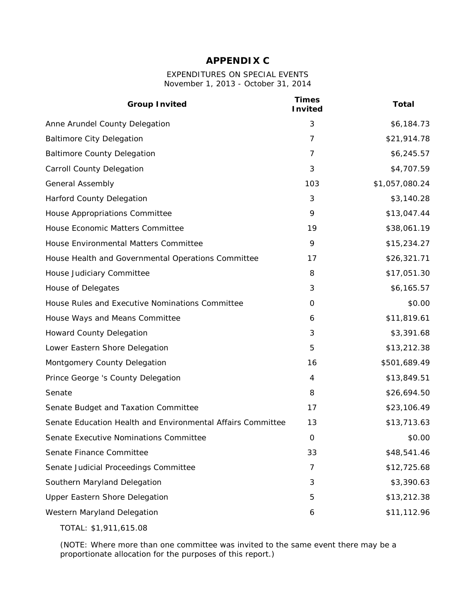# **APPENDIX C**

#### EXPENDITURES ON SPECIAL EVENTS *November 1, 2013 - October 31, 2014*

| <b>Group Invited</b>                                        | <b>Times</b><br><b>Invited</b> | <b>Total</b>   |
|-------------------------------------------------------------|--------------------------------|----------------|
| Anne Arundel County Delegation                              | 3                              | \$6,184.73     |
| <b>Baltimore City Delegation</b>                            | 7                              | \$21,914.78    |
| <b>Baltimore County Delegation</b>                          | 7                              | \$6,245.57     |
| <b>Carroll County Delegation</b>                            | 3                              | \$4,707.59     |
| <b>General Assembly</b>                                     | 103                            | \$1,057,080.24 |
| Harford County Delegation                                   | 3                              | \$3,140.28     |
| House Appropriations Committee                              | 9                              | \$13,047.44    |
| House Economic Matters Committee                            | 19                             | \$38,061.19    |
| House Environmental Matters Committee                       | 9                              | \$15,234.27    |
| House Health and Governmental Operations Committee          | 17                             | \$26,321.71    |
| House Judiciary Committee                                   | 8                              | \$17,051.30    |
| House of Delegates                                          | 3                              | \$6,165.57     |
| House Rules and Executive Nominations Committee             | 0                              | \$0.00         |
| House Ways and Means Committee                              | 6                              | \$11,819.61    |
| <b>Howard County Delegation</b>                             | 3                              | \$3,391.68     |
| Lower Eastern Shore Delegation                              | 5                              | \$13,212.38    |
| Montgomery County Delegation                                | 16                             | \$501,689.49   |
| Prince George 's County Delegation                          | 4                              | \$13,849.51    |
| Senate                                                      | 8                              | \$26,694.50    |
| Senate Budget and Taxation Committee                        | 17                             | \$23,106.49    |
| Senate Education Health and Environmental Affairs Committee | 13                             | \$13,713.63    |
| Senate Executive Nominations Committee                      | 0                              | \$0.00         |
| Senate Finance Committee                                    | 33                             | \$48,541.46    |
| Senate Judicial Proceedings Committee                       | 7                              | \$12,725.68    |
| Southern Maryland Delegation                                | 3                              | \$3,390.63     |
| Upper Eastern Shore Delegation                              | 5                              | \$13,212.38    |
| Western Maryland Delegation                                 | 6                              | \$11,112.96    |
|                                                             |                                |                |

TOTAL: \$1,911,615.08

(NOTE: Where more than one committee was invited to the same event there may be a proportionate allocation for the purposes of this report.)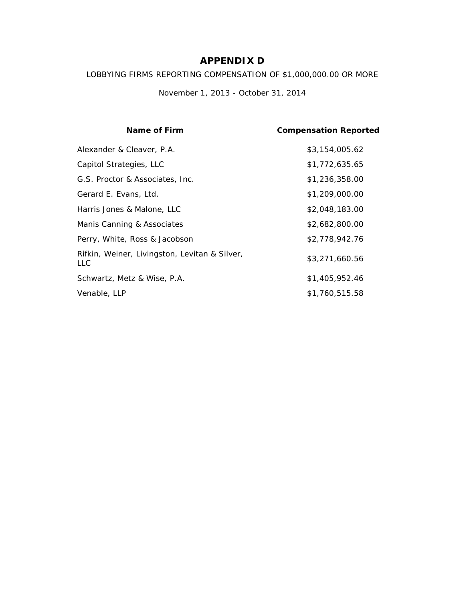# **APPENDIX D**

LOBBYING FIRMS REPORTING COMPENSATION OF \$1,000,000.00 OR MORE

*November 1, 2013 - October 31, 2014*

| Name of Firm                                                | <b>Compensation Reported</b> |
|-------------------------------------------------------------|------------------------------|
| Alexander & Cleaver, P.A.                                   | \$3,154,005.62               |
| Capitol Strategies, LLC                                     | \$1,772,635.65               |
| G.S. Proctor & Associates, Inc.                             | \$1,236,358.00               |
| Gerard E. Evans, Ltd.                                       | \$1,209,000.00               |
| Harris Jones & Malone, LLC                                  | \$2,048,183.00               |
| Manis Canning & Associates                                  | \$2,682,800.00               |
| Perry, White, Ross & Jacobson                               | \$2,778,942.76               |
| Rifkin, Weiner, Livingston, Levitan & Silver,<br><b>LLC</b> | \$3,271,660.56               |
| Schwartz, Metz & Wise, P.A.                                 | \$1,405,952.46               |
| Venable, LLP                                                | \$1,760,515.58               |